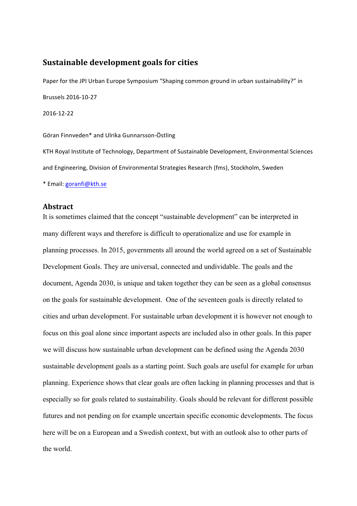# **Sustainable development goals for cities**

Paper for the JPI Urban Europe Symposium "Shaping common ground in urban sustainability?" in Brussels 2016-10-27 2016-12-22

Göran Finnveden\* and Ulrika Gunnarsson-Östling

KTH Royal Institute of Technology, Department of Sustainable Development, Environmental Sciences and Engineering, Division of Environmental Strategies Research (fms), Stockholm, Sweden \* Email: goranfi@kth.se

#### **Abstract**

It is sometimes claimed that the concept "sustainable development" can be interpreted in many different ways and therefore is difficult to operationalize and use for example in planning processes. In 2015, governments all around the world agreed on a set of Sustainable Development Goals. They are universal, connected and undividable. The goals and the document, Agenda 2030, is unique and taken together they can be seen as a global consensus on the goals for sustainable development. One of the seventeen goals is directly related to cities and urban development. For sustainable urban development it is however not enough to focus on this goal alone since important aspects are included also in other goals. In this paper we will discuss how sustainable urban development can be defined using the Agenda 2030 sustainable development goals as a starting point. Such goals are useful for example for urban planning. Experience shows that clear goals are often lacking in planning processes and that is especially so for goals related to sustainability. Goals should be relevant for different possible futures and not pending on for example uncertain specific economic developments. The focus here will be on a European and a Swedish context, but with an outlook also to other parts of the world.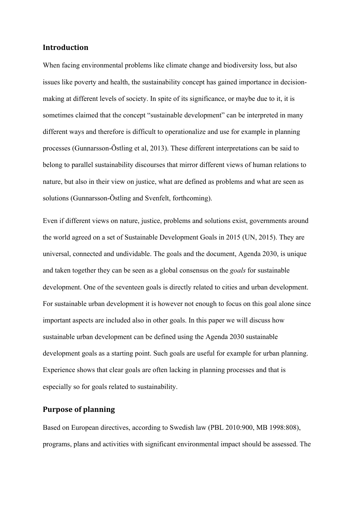## **Introduction**

When facing environmental problems like climate change and biodiversity loss, but also issues like poverty and health, the sustainability concept has gained importance in decisionmaking at different levels of society. In spite of its significance, or maybe due to it, it is sometimes claimed that the concept "sustainable development" can be interpreted in many different ways and therefore is difficult to operationalize and use for example in planning processes (Gunnarsson-Östling et al, 2013). These different interpretations can be said to belong to parallel sustainability discourses that mirror different views of human relations to nature, but also in their view on justice, what are defined as problems and what are seen as solutions (Gunnarsson-Östling and Svenfelt, forthcoming).

Even if different views on nature, justice, problems and solutions exist, governments around the world agreed on a set of Sustainable Development Goals in 2015 (UN, 2015). They are universal, connected and undividable. The goals and the document, Agenda 2030, is unique and taken together they can be seen as a global consensus on the *goals* for sustainable development. One of the seventeen goals is directly related to cities and urban development. For sustainable urban development it is however not enough to focus on this goal alone since important aspects are included also in other goals. In this paper we will discuss how sustainable urban development can be defined using the Agenda 2030 sustainable development goals as a starting point. Such goals are useful for example for urban planning. Experience shows that clear goals are often lacking in planning processes and that is especially so for goals related to sustainability.

# **Purpose of planning**

Based on European directives, according to Swedish law (PBL 2010:900, MB 1998:808), programs, plans and activities with significant environmental impact should be assessed. The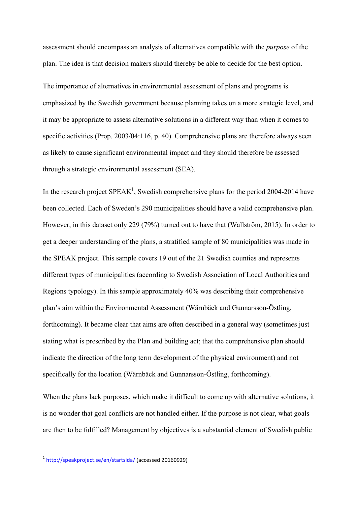assessment should encompass an analysis of alternatives compatible with the *purpose* of the plan. The idea is that decision makers should thereby be able to decide for the best option.

The importance of alternatives in environmental assessment of plans and programs is emphasized by the Swedish government because planning takes on a more strategic level, and it may be appropriate to assess alternative solutions in a different way than when it comes to specific activities (Prop. 2003/04:116, p. 40). Comprehensive plans are therefore always seen as likely to cause significant environmental impact and they should therefore be assessed through a strategic environmental assessment (SEA).

In the research project  $SPEAK^1$ , Swedish comprehensive plans for the period 2004-2014 have been collected. Each of Sweden's 290 municipalities should have a valid comprehensive plan. However, in this dataset only 229 (79%) turned out to have that (Wallström, 2015). In order to get a deeper understanding of the plans, a stratified sample of 80 municipalities was made in the SPEAK project. This sample covers 19 out of the 21 Swedish counties and represents different types of municipalities (according to Swedish Association of Local Authorities and Regions typology). In this sample approximately 40% was describing their comprehensive plan's aim within the Environmental Assessment (Wärnbäck and Gunnarsson-Östling, forthcoming). It became clear that aims are often described in a general way (sometimes just stating what is prescribed by the Plan and building act; that the comprehensive plan should indicate the direction of the long term development of the physical environment) and not specifically for the location (Wärnbäck and Gunnarsson-Östling, forthcoming).

When the plans lack purposes, which make it difficult to come up with alternative solutions, it is no wonder that goal conflicts are not handled either. If the purpose is not clear, what goals are then to be fulfilled? Management by objectives is a substantial element of Swedish public

<u> 1989 - Johann Barn, mars ann an t-Amhain an t-Amhain an t-Amhain an t-Amhain an t-Amhain an t-Amhain an t-Amh</u>

<sup>&</sup>lt;sup>1</sup> http://speakproject.se/en/startsida/ (accessed 20160929)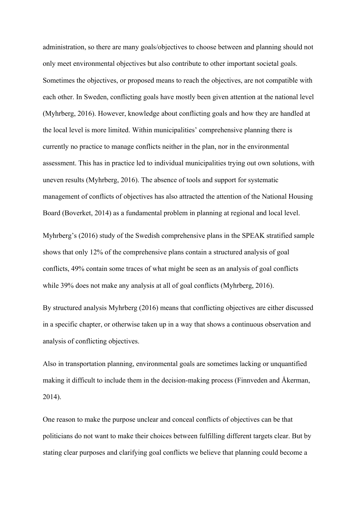administration, so there are many goals/objectives to choose between and planning should not only meet environmental objectives but also contribute to other important societal goals. Sometimes the objectives, or proposed means to reach the objectives, are not compatible with each other. In Sweden, conflicting goals have mostly been given attention at the national level (Myhrberg, 2016). However, knowledge about conflicting goals and how they are handled at the local level is more limited. Within municipalities' comprehensive planning there is currently no practice to manage conflicts neither in the plan, nor in the environmental assessment. This has in practice led to individual municipalities trying out own solutions, with uneven results (Myhrberg, 2016). The absence of tools and support for systematic management of conflicts of objectives has also attracted the attention of the National Housing Board (Boverket, 2014) as a fundamental problem in planning at regional and local level.

Myhrberg's (2016) study of the Swedish comprehensive plans in the SPEAK stratified sample shows that only 12% of the comprehensive plans contain a structured analysis of goal conflicts, 49% contain some traces of what might be seen as an analysis of goal conflicts while 39% does not make any analysis at all of goal conflicts (Myhrberg, 2016).

By structured analysis Myhrberg (2016) means that conflicting objectives are either discussed in a specific chapter, or otherwise taken up in a way that shows a continuous observation and analysis of conflicting objectives.

Also in transportation planning, environmental goals are sometimes lacking or unquantified making it difficult to include them in the decision-making process (Finnveden and Åkerman, 2014).

One reason to make the purpose unclear and conceal conflicts of objectives can be that politicians do not want to make their choices between fulfilling different targets clear. But by stating clear purposes and clarifying goal conflicts we believe that planning could become a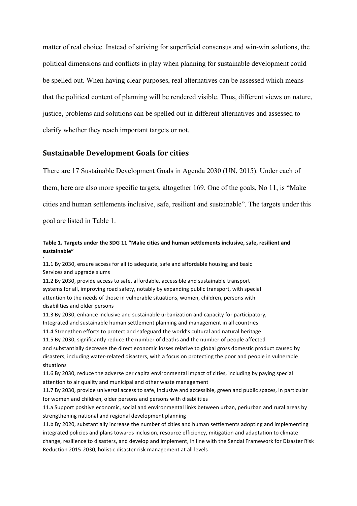matter of real choice. Instead of striving for superficial consensus and win-win solutions, the political dimensions and conflicts in play when planning for sustainable development could be spelled out. When having clear purposes, real alternatives can be assessed which means that the political content of planning will be rendered visible. Thus, different views on nature, justice, problems and solutions can be spelled out in different alternatives and assessed to clarify whether they reach important targets or not.

#### **Sustainable Development Goals for cities**

There are 17 Sustainable Development Goals in Agenda 2030 (UN, 2015). Under each of

them, here are also more specific targets, altogether 169. One of the goals, No 11, is "Make

cities and human settlements inclusive, safe, resilient and sustainable". The targets under this

goal are listed in Table 1.

+

#### Table 1. Targets under the SDG 11 "Make cities and human settlements inclusive, safe, resilient and **sustainable"**

11.1 By 2030, ensure access for all to adequate, safe and affordable housing and basic Services and upgrade slums

11.2 By 2030, provide access to safe, affordable, accessible and sustainable transport systems for all, improving road safety, notably by expanding public transport, with special attention to the needs of those in vulnerable situations, women, children, persons with disabilities and older persons

11.3 By 2030, enhance inclusive and sustainable urbanization and capacity for participatory, Integrated and sustainable human settlement planning and management in all countries

11.4 Strengthen efforts to protect and safeguard the world's cultural and natural heritage 11.5 By 2030, significantly reduce the number of deaths and the number of people affected and substantially decrease the direct economic losses relative to global gross domestic product caused by

disasters, including water-related disasters, with a focus on protecting the poor and people in vulnerable situations

11.6 By 2030, reduce the adverse per capita environmental impact of cities, including by paying special attention to air quality and municipal and other waste management

11.7 By 2030, provide universal access to safe, inclusive and accessible, green and public spaces, in particular for women and children, older persons and persons with disabilities

11.a Support positive economic, social and environmental links between urban, periurban and rural areas by strengthening national and regional development planning

11.b By 2020, substantially increase the number of cities and human settlements adopting and implementing integrated policies and plans towards inclusion, resource efficiency, mitigation and adaptation to climate change, resilience to disasters, and develop and implement, in line with the Sendai Framework for Disaster Risk Reduction 2015-2030, holistic disaster risk management at all levels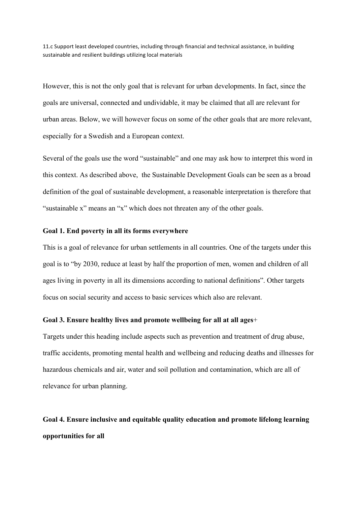11.c Support least developed countries, including through financial and technical assistance, in building sustainable and resilient buildings utilizing local materials

However, this is not the only goal that is relevant for urban developments. In fact, since the goals are universal, connected and undividable, it may be claimed that all are relevant for urban areas. Below, we will however focus on some of the other goals that are more relevant, especially for a Swedish and a European context.

Several of the goals use the word "sustainable" and one may ask how to interpret this word in this context. As described above, the Sustainable Development Goals can be seen as a broad definition of the goal of sustainable development, a reasonable interpretation is therefore that "sustainable x" means an "x" which does not threaten any of the other goals.

#### **Goal 1. End poverty in all its forms everywhere**

This is a goal of relevance for urban settlements in all countries. One of the targets under this goal is to "by 2030, reduce at least by half the proportion of men, women and children of all ages living in poverty in all its dimensions according to national definitions". Other targets focus on social security and access to basic services which also are relevant.

### **Goal 3. Ensure healthy lives and promote wellbeing for all at all ages**+

Targets under this heading include aspects such as prevention and treatment of drug abuse, traffic accidents, promoting mental health and wellbeing and reducing deaths and illnesses for hazardous chemicals and air, water and soil pollution and contamination, which are all of relevance for urban planning.

# **Goal 4. Ensure inclusive and equitable quality education and promote lifelong learning opportunities for all**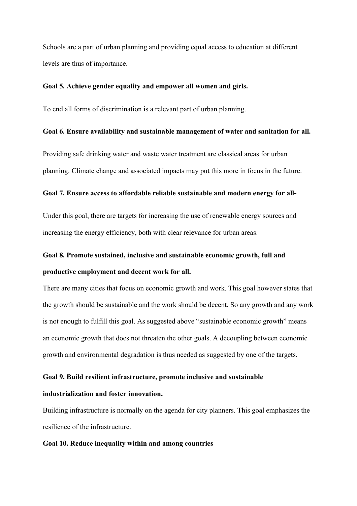Schools are a part of urban planning and providing equal access to education at different levels are thus of importance.

#### **Goal 5. Achieve gender equality and empower all women and girls.**

To end all forms of discrimination is a relevant part of urban planning.

#### **Goal 6. Ensure availability and sustainable management of water and sanitation for all.**

Providing safe drinking water and waste water treatment are classical areas for urban planning. Climate change and associated impacts may put this more in focus in the future.

#### **Goal 7. Ensure access to affordable reliable sustainable and modern energy for all-**

Under this goal, there are targets for increasing the use of renewable energy sources and increasing the energy efficiency, both with clear relevance for urban areas.

# **Goal 8. Promote sustained, inclusive and sustainable economic growth, full and productive employment and decent work for all.**

There are many cities that focus on economic growth and work. This goal however states that the growth should be sustainable and the work should be decent. So any growth and any work is not enough to fulfill this goal. As suggested above "sustainable economic growth" means an economic growth that does not threaten the other goals. A decoupling between economic growth and environmental degradation is thus needed as suggested by one of the targets.

#### **Goal 9. Build resilient infrastructure, promote inclusive and sustainable**

### **industrialization and foster innovation.**

Building infrastructure is normally on the agenda for city planners. This goal emphasizes the resilience of the infrastructure.

#### **Goal 10. Reduce inequality within and among countries**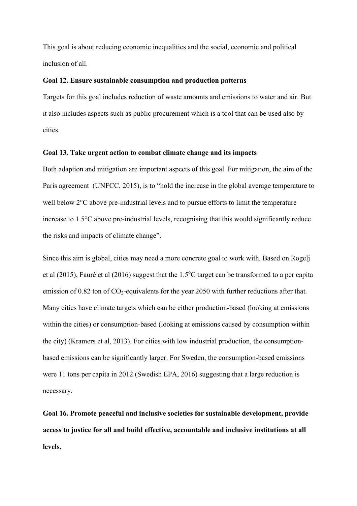This goal is about reducing economic inequalities and the social, economic and political inclusion of all.

#### **Goal 12. Ensure sustainable consumption and production patterns**

Targets for this goal includes reduction of waste amounts and emissions to water and air. But it also includes aspects such as public procurement which is a tool that can be used also by cities.

#### **Goal 13. Take urgent action to combat climate change and its impacts**

Both adaption and mitigation are important aspects of this goal. For mitigation, the aim of the Paris agreement (UNFCC, 2015), is to "hold the increase in the global average temperature to well below 2°C above pre-industrial levels and to pursue efforts to limit the temperature increase to 1.5°C above pre-industrial levels, recognising that this would significantly reduce the risks and impacts of climate change".

Since this aim is global, cities may need a more concrete goal to work with. Based on Rogelj et al (2015), Fauré et al (2016) suggest that the  $1.5^{\circ}$ C target can be transformed to a per capita emission of 0.82 ton of  $CO<sub>2</sub>$ -equivalents for the year 2050 with further reductions after that. Many cities have climate targets which can be either production-based (looking at emissions within the cities) or consumption-based (looking at emissions caused by consumption within the city) (Kramers et al, 2013). For cities with low industrial production, the consumptionbased emissions can be significantly larger. For Sweden, the consumption-based emissions were 11 tons per capita in 2012 (Swedish EPA, 2016) suggesting that a large reduction is necessary.

**Goal 16. Promote peaceful and inclusive societies for sustainable development, provide access to justice for all and build effective, accountable and inclusive institutions at all levels.**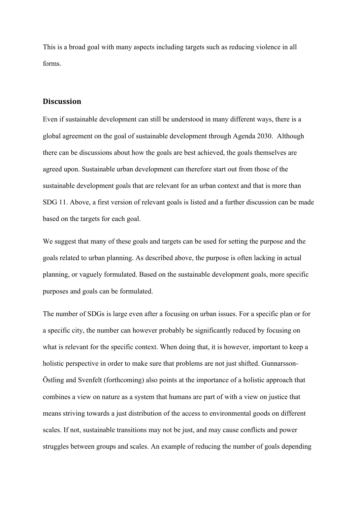This is a broad goal with many aspects including targets such as reducing violence in all forms.

### **Discussion**

Even if sustainable development can still be understood in many different ways, there is a global agreement on the goal of sustainable development through Agenda 2030. Although there can be discussions about how the goals are best achieved, the goals themselves are agreed upon. Sustainable urban development can therefore start out from those of the sustainable development goals that are relevant for an urban context and that is more than SDG 11. Above, a first version of relevant goals is listed and a further discussion can be made based on the targets for each goal.

We suggest that many of these goals and targets can be used for setting the purpose and the goals related to urban planning. As described above, the purpose is often lacking in actual planning, or vaguely formulated. Based on the sustainable development goals, more specific purposes and goals can be formulated.

The number of SDGs is large even after a focusing on urban issues. For a specific plan or for a specific city, the number can however probably be significantly reduced by focusing on what is relevant for the specific context. When doing that, it is however, important to keep a holistic perspective in order to make sure that problems are not just shifted. Gunnarsson-Östling and Svenfelt (forthcoming) also points at the importance of a holistic approach that combines a view on nature as a system that humans are part of with a view on justice that means striving towards a just distribution of the access to environmental goods on different scales. If not, sustainable transitions may not be just, and may cause conflicts and power struggles between groups and scales. An example of reducing the number of goals depending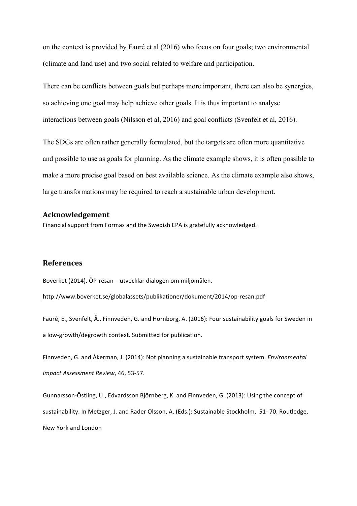on the context is provided by Fauré et al (2016) who focus on four goals; two environmental (climate and land use) and two social related to welfare and participation.

There can be conflicts between goals but perhaps more important, there can also be synergies, so achieving one goal may help achieve other goals. It is thus important to analyse interactions between goals (Nilsson et al, 2016) and goal conflicts (Svenfelt et al, 2016).

The SDGs are often rather generally formulated, but the targets are often more quantitative and possible to use as goals for planning. As the climate example shows, it is often possible to make a more precise goal based on best available science. As the climate example also shows, large transformations may be required to reach a sustainable urban development.

## **Acknowledgement**

Financial support from Formas and the Swedish EPA is gratefully acknowledged.

#### **References**

Boverket (2014). ÖP-resan – utvecklar dialogen om miljömålen.

http://www.boverket.se/globalassets/publikationer/dokument/2014/op-resan.pdf

Fauré, E., Svenfelt, Å., Finnveden, G. and Hornborg, A. (2016): Four sustainability goals for Sweden in a low-growth/degrowth context. Submitted for publication.

Finnveden, G. and Åkerman, J. (2014): Not planning a sustainable transport system. *Environmental Impact Assessment Review*, 46, 53-57.

Gunnarsson-Östling, U., Edvardsson Björnberg, K. and Finnveden, G. (2013): Using the concept of sustainability. In Metzger, J. and Rader Olsson, A. (Eds.): Sustainable Stockholm, 51-70. Routledge, New York and London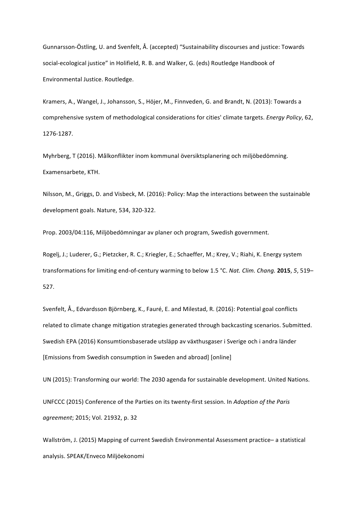Gunnarsson-Östling, U. and Svenfelt, Å. (accepted) "Sustainability discourses and justice: Towards social-ecological justice" in Holifield, R. B. and Walker, G. (eds) Routledge Handbook of Environmental Justice. Routledge.

Kramers, A., Wangel, J., Johansson, S., Höjer, M., Finnveden, G. and Brandt, N. (2013): Towards a comprehensive system of methodological considerations for cities' climate targets. *Energy Policy*, 62, 1276-1287.

Myhrberg, T (2016). Målkonflikter inom kommunal översiktsplanering och miljöbedömning. Examensarbete, KTH.

Nilsson, M., Griggs, D. and Visbeck, M. (2016): Policy: Map the interactions between the sustainable development goals. Nature, 534, 320-322.

Prop. 2003/04:116, Miljöbedömningar av planer och program, Swedish government.

Rogelj, J.; Luderer, G.; Pietzcker, R. C.; Kriegler, E.; Schaeffer, M.; Krey, V.; Riahi, K. Energy system transformations for limiting end-of-century warming to below 1.5 °C. Nat. Clim. Chang. 2015, 5, 519– 527.

Svenfelt, Å., Edvardsson Björnberg, K., Fauré, E. and Milestad, R. (2016): Potential goal conflicts related to climate change mitigation strategies generated through backcasting scenarios. Submitted. Swedish EPA (2016) Konsumtionsbaserade utsläpp av växthusgaser i Sverige och i andra länder [Emissions from Swedish consumption in Sweden and abroad] [online]

UN (2015): Transforming our world: The 2030 agenda for sustainable development. United Nations.

UNFCCC (2015) Conference of the Parties on its twenty-first session. In *Adoption of the Paris agreement*; 2015; Vol. 21932, p. 32

Wallström, J. (2015) Mapping of current Swedish Environmental Assessment practice- a statistical analysis. SPEAK/Enveco Miljöekonomi